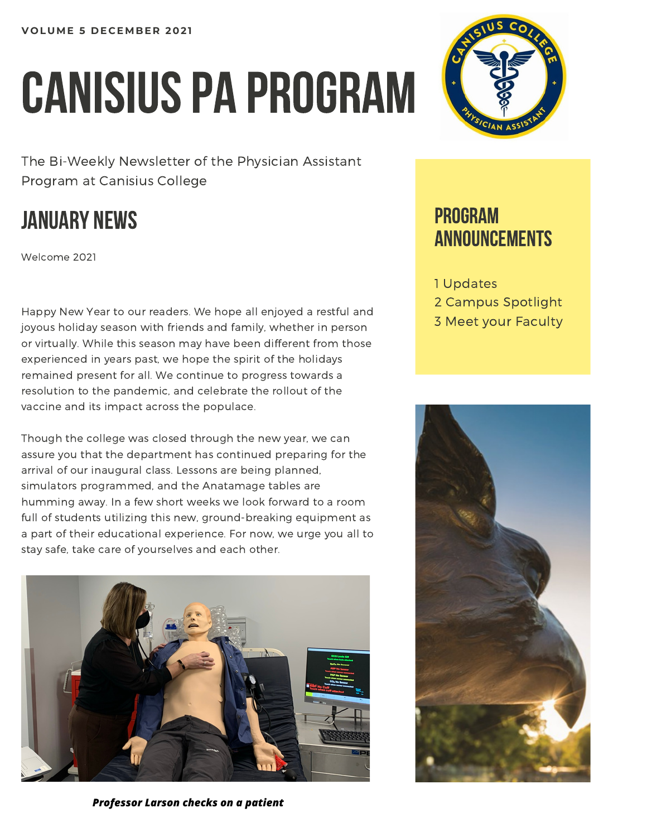# CANISIUS PA PROGRAM

The Bi-Weekly Newsletter of the Physician Assistant Program at Canisius College

## JANUARY NEWS

Welcome 2021

Happy New Year to our readers. We hope all enjoyed a restful and joyous holiday season with friends and family, whether in person or virtually. While this season may have been different from those experienced in years past, we hope the spirit of the holidays remained present for all. We continue to progress towards a resolution to the pandemic, and celebrate the rollout of the vaccine and its impact across the populace.

Though the college was closed through the new year, we can assure you that the department has continued preparing for the arrival of our inaugural class. Lessons are being planned, simulators programmed, and the Anatamage tables are humming away. In a few short weeks we look forward to a room full of students utilizing this new, ground-breaking equipment as a part of their educational experience. For now, we urge you all to stay safe, take care of yourselves and each other.



*Professor Larson checks on a patient*



### PROGRAM ANNOUNCEMENTS

1 Updates 2 Campus Spotlight 3 Meet your Faculty